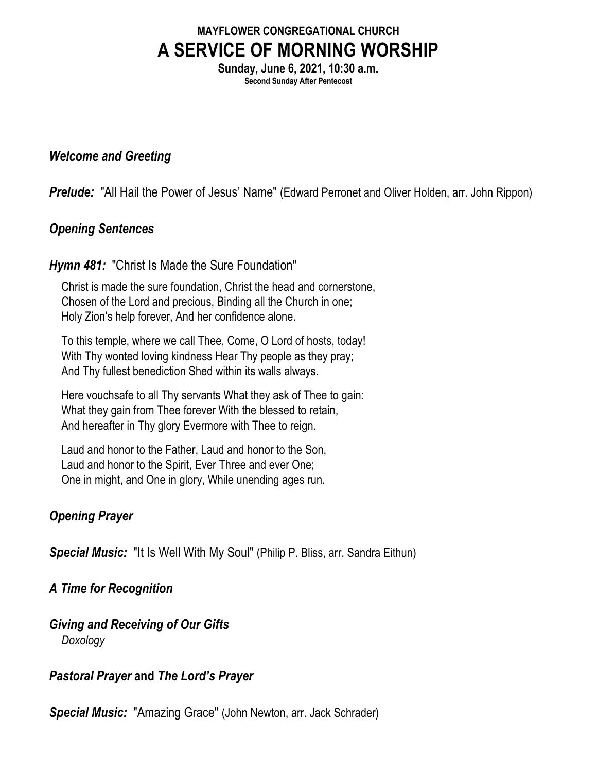# **MAYFLOWER CONGREGATIONAL CHURCH A SERVICE OF MORNING WORSHIP**

**Sunday, June 6, 2021, 10:30 a.m. Second Sunday After Pentecost**

#### *Welcome and Greeting*

*Prelude:* "All Hail the Power of Jesus' Name" (Edward Perronet and Oliver Holden, arr. John Rippon)

### *Opening Sentences*

### *Hymn 481:* "Christ Is Made the Sure Foundation"

Christ is made the sure foundation, Christ the head and cornerstone, Chosen of the Lord and precious, Binding all the Church in one; Holy Zion's help forever, And her confidence alone.

To this temple, where we call Thee, Come, O Lord of hosts, today! With Thy wonted loving kindness Hear Thy people as they pray; And Thy fullest benediction Shed within its walls always.

Here vouchsafe to all Thy servants What they ask of Thee to gain: What they gain from Thee forever With the blessed to retain, And hereafter in Thy glory Evermore with Thee to reign.

Laud and honor to the Father, Laud and honor to the Son, Laud and honor to the Spirit, Ever Three and ever One; One in might, and One in glory, While unending ages run.

## *Opening Prayer*

*Special Music:* "It Is Well With My Soul" (Philip P. Bliss, arr. Sandra Eithun)

### *A Time for Recognition*

*Giving and Receiving of Our Gifts Doxology*

### *Pastoral Prayer* **and** *The Lord's Prayer*

*Special Music:* "Amazing Grace" (John Newton, arr. Jack Schrader)